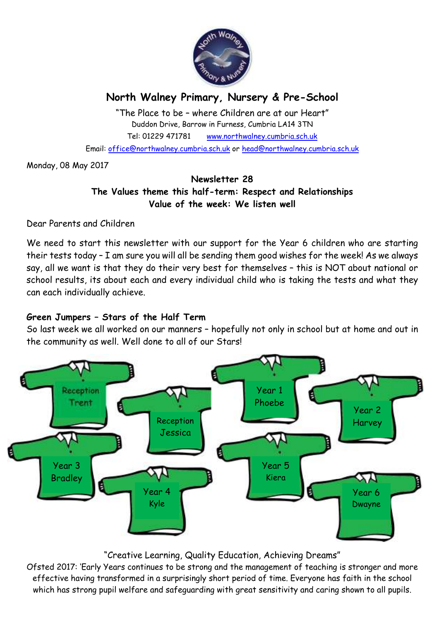

# **North Walney Primary, Nursery & Pre-School**

"The Place to be – where Children are at our Heart" Duddon Drive, Barrow in Furness, Cumbria LA14 3TN Tel: 01229 471781 www.northwalney.cumbria.sch.uk Email: office@northwalney.cumbria.sch.uk or head@northwalney.cumbria.sch.uk

Monday, 08 May 2017

# **Newsletter 28 The Values theme this half-term: Respect and Relationships Value of the week: We listen well**

Dear Parents and Children

We need to start this newsletter with our support for the Year 6 children who are starting their tests today – I am sure you will all be sending them good wishes for the week! As we always say, all we want is that they do their very best for themselves – this is NOT about national or school results, its about each and every individual child who is taking the tests and what they can each individually achieve.

# **Green Jumpers – Stars of the Half Term**

So last week we all worked on our manners – hopefully not only in school but at home and out in the community as well. Well done to all of our Stars!



# "Creative Learning, Quality Education, Achieving Dreams"

Ofsted 2017: 'Early Years continues to be strong and the management of teaching is stronger and more effective having transformed in a surprisingly short period of time. Everyone has faith in the school which has strong pupil welfare and safeguarding with great sensitivity and caring shown to all pupils.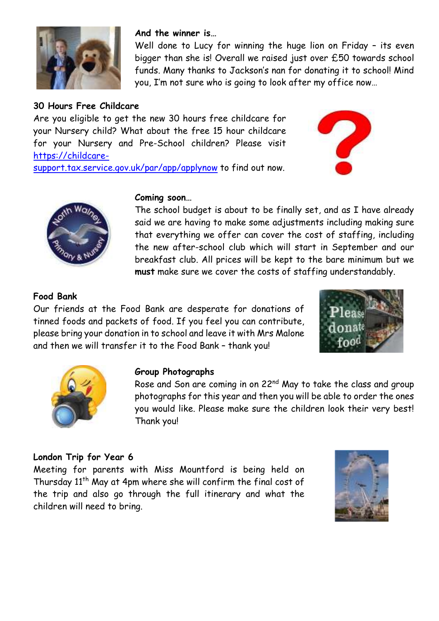

# **30 Hours Free Childcare**

Are you eligible to get the new 30 hours free childcare for your Nursery child? What about the free 15 hour childcare for your Nursery and Pre-School children? Please visit https://childcare-

**And the winner is…**







#### **Coming soon…**

The school budget is about to be finally set, and as I have already said we are having to make some adjustments including making sure that everything we offer can cover the cost of staffing, including the new after-school club which will start in September and our breakfast club. All prices will be kept to the bare minimum but we **must** make sure we cover the costs of staffing understandably.

Well done to Lucy for winning the huge lion on Friday – its even bigger than she is! Overall we raised just over £50 towards school funds. Many thanks to Jackson's nan for donating it to school! Mind

you, I'm not sure who is going to look after my office now…

### **Food Bank**

Our friends at the Food Bank are desperate for donations of tinned foods and packets of food. If you feel you can contribute, please bring your donation in to school and leave it with Mrs Malone and then we will transfer it to the Food Bank – thank you!





#### **Group Photographs**

Rose and Son are coming in on 22<sup>nd</sup> May to take the class and group photographs for this year and then you will be able to order the ones you would like. Please make sure the children look their very best! Thank you!

### **London Trip for Year 6**

Meeting for parents with Miss Mountford is being held on Thursday 11<sup>th</sup> May at 4pm where she will confirm the final cost of the trip and also go through the full itinerary and what the children will need to bring.

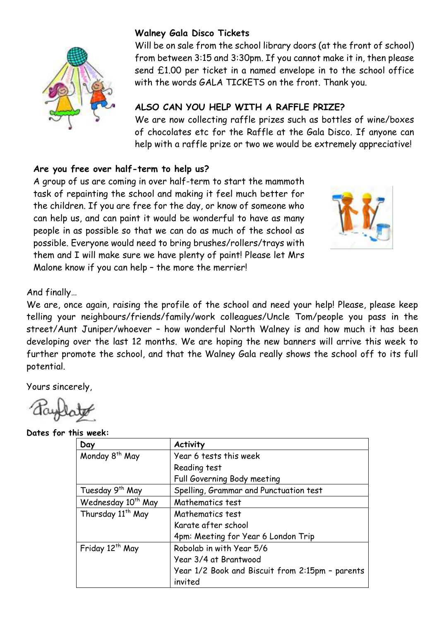

### **Walney Gala Disco Tickets**

Will be on sale from the school library doors (at the front of school) from between 3:15 and 3:30pm. If you cannot make it in, then please send £1.00 per ticket in a named envelope in to the school office with the words GALA TICKETS on the front. Thank you.

# **ALSO CAN YOU HELP WITH A RAFFLE PRIZE?**

We are now collecting raffle prizes such as bottles of wine/boxes of chocolates etc for the Raffle at the Gala Disco. If anyone can help with a raffle prize or two we would be extremely appreciative!

### **Are you free over half-term to help us?**

A group of us are coming in over half-term to start the mammoth task of repainting the school and making it feel much better for the children. If you are free for the day, or know of someone who can help us, and can paint it would be wonderful to have as many people in as possible so that we can do as much of the school as possible. Everyone would need to bring brushes/rollers/trays with them and I will make sure we have plenty of paint! Please let Mrs Malone know if you can help – the more the merrier!



### And finally…

We are, once again, raising the profile of the school and need your help! Please, please keep telling your neighbours/friends/family/work colleagues/Uncle Tom/people you pass in the street/Aunt Juniper/whoever – how wonderful North Walney is and how much it has been developing over the last 12 months. We are hoping the new banners will arrive this week to further promote the school, and that the Walney Gala really shows the school off to its full potential.

Yours sincerely,

**Dates for this week:** 

| Day                            | <b>Activity</b>                                 |
|--------------------------------|-------------------------------------------------|
| Monday 8 <sup>th</sup> May     | Year 6 tests this week                          |
|                                | Reading test                                    |
|                                | Full Governing Body meeting                     |
| Tuesday 9 <sup>th</sup> May    | Spelling, Grammar and Punctuation test          |
| Wednesday 10 <sup>th</sup> May | Mathematics test                                |
| Thursday 11 <sup>th</sup> May  | Mathematics test                                |
|                                | Karate after school                             |
|                                | 4pm: Meeting for Year 6 London Trip             |
| Friday 12 <sup>th</sup> May    | Robolab in with Year 5/6                        |
|                                | Year 3/4 at Brantwood                           |
|                                | Year 1/2 Book and Biscuit from 2:15pm - parents |
|                                | invited                                         |